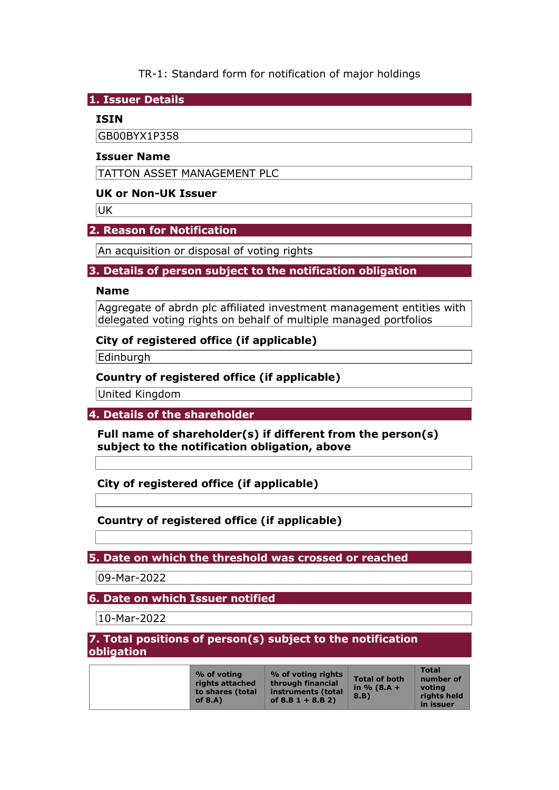# TR-1: Standard form for notification of major holdings

**1. Issuer Details** 

### **ISIN**

GB00BYX1P358

#### **Issuer Name**

TATTON ASSET MANAGEMENT PLC

### **UK or Non-UK Issuer**

**UK** 

### **2. Reason for Notification**

An acquisition or disposal of voting rights

### **3. Details of person subject to the notification obligation**

#### **Name**

Aggregate of abrdn plc affiliated investment management entities with delegated voting rights on behalf of multiple managed portfolios

### **City of registered office (if applicable)**

Edinburgh

### **Country of registered office (if applicable)**

United Kingdom

## **4. Details of the shareholder**

**Full name of shareholder(s) if different from the person(s) subject to the notification obligation, above** 

## **City of registered office (if applicable)**

## **Country of registered office (if applicable)**

## **5. Date on which the threshold was crossed or reached**

09-Mar-2022

## **6. Date on which Issuer notified**

10-Mar-2022

#### **7. Total positions of person(s) subject to the notification obligation**

|  | % of voting<br>rights attached<br>to shares (total<br>of $8.A$ ) | % of voting rights<br>through financial<br>instruments (total<br>of $8.B 1 + 8.B 2)$ | <b>Total of both</b><br>in % $(8.A +$<br>8.B) | <b>Total</b><br>number of<br>votina<br>rights held<br>in issuer |
|--|------------------------------------------------------------------|--------------------------------------------------------------------------------------|-----------------------------------------------|-----------------------------------------------------------------|
|--|------------------------------------------------------------------|--------------------------------------------------------------------------------------|-----------------------------------------------|-----------------------------------------------------------------|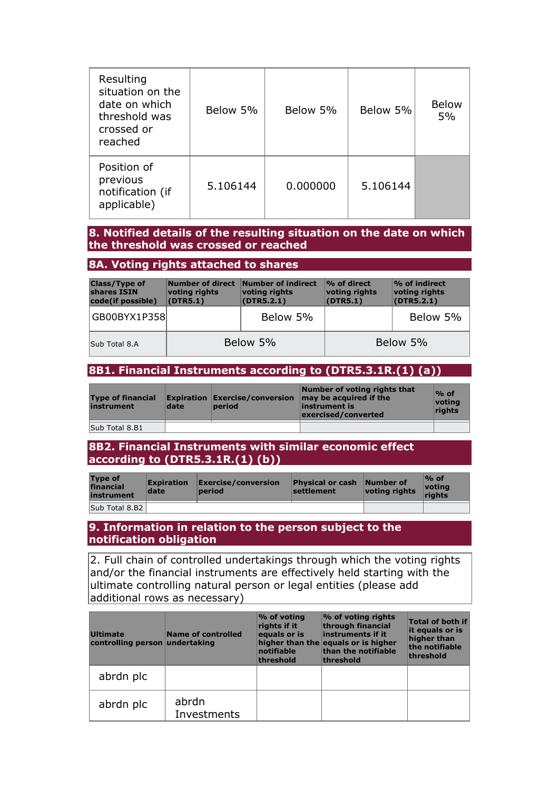| Resulting<br>situation on the<br>date on which<br>threshold was<br>crossed or<br>reached | Below 5% | Below 5% | Below 5% | <b>Below</b><br>5% |
|------------------------------------------------------------------------------------------|----------|----------|----------|--------------------|
| Position of<br>previous<br>notification (if<br>applicable)                               | 5.106144 | 0.000000 | 5.106144 |                    |

#### **8. Notified details of the resulting situation on the date on which the threshold was crossed or reached**

### **8A. Voting rights attached to shares**

| <b>Class/Type of</b><br>shares ISIN<br>code(if possible) | Number of direct<br>voting rights<br>(DTR5.1) | Number of indirect<br>voting rights<br>(DTR5.2.1) | $\%$ of direct<br>voting rights<br>(DTR5.1) | % of indirect<br>voting rights<br>(DTR5.2.1) |
|----------------------------------------------------------|-----------------------------------------------|---------------------------------------------------|---------------------------------------------|----------------------------------------------|
| GB00BYX1P358                                             |                                               | Below 5%                                          |                                             | Below 5%                                     |
| Sub Total 8.A                                            | Below 5%                                      |                                                   |                                             | Below 5%                                     |

### **8B1. Financial Instruments according to (DTR5.3.1R.(1) (a))**

| <b>Type of financial</b><br>instrument | date | Expiration Exercise/conversion<br>period | Number of voting rights that<br>may be acquired if the<br>instrument is<br>exercised/converted | $\%$ of<br>votina<br><b>rights</b> |
|----------------------------------------|------|------------------------------------------|------------------------------------------------------------------------------------------------|------------------------------------|
| Sub Total 8.B1                         |      |                                          |                                                                                                |                                    |

**8B2. Financial Instruments with similar economic effect according to (DTR5.3.1R.(1) (b))** 

| <b>Type of</b><br>financial<br>instrument | <b>Expiration</b><br>date | Exercise/conversion<br>period | <b>Physical or cash</b><br>settlement | Number of<br>voting rights | $\%$ of<br>votina<br>riahts |
|-------------------------------------------|---------------------------|-------------------------------|---------------------------------------|----------------------------|-----------------------------|
| Sub Total 8.B2                            |                           |                               |                                       |                            |                             |

# **9. Information in relation to the person subject to the notification obligation**

2. Full chain of controlled undertakings through which the voting rights and/or the financial instruments are effectively held starting with the ultimate controlling natural person or legal entities (please add additional rows as necessary)

| <b>Ultimate</b><br>controlling person undertaking | <b>Name of controlled</b> | $\%$ of voting<br>rights if it<br>equals or is<br>notifiable<br>threshold | % of voting rights<br>through financial<br>instruments if it<br>higher than the equals or is higher<br>than the notifiable<br>threshold | <b>Total of both if</b><br>it equals or is<br>higher than<br>the notifiable<br>threshold |
|---------------------------------------------------|---------------------------|---------------------------------------------------------------------------|-----------------------------------------------------------------------------------------------------------------------------------------|------------------------------------------------------------------------------------------|
| abrdn plc                                         |                           |                                                                           |                                                                                                                                         |                                                                                          |
| abrdn plc                                         | abrdn<br>Investments      |                                                                           |                                                                                                                                         |                                                                                          |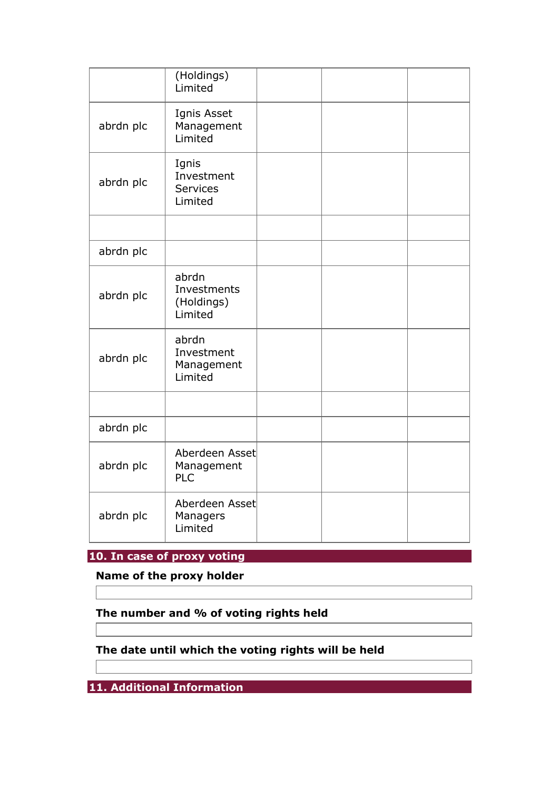|           | (Holdings)<br>Limited                             |  |  |
|-----------|---------------------------------------------------|--|--|
| abrdn plc | Ignis Asset<br>Management<br>Limited              |  |  |
| abrdn plc | Ignis<br>Investment<br><b>Services</b><br>Limited |  |  |
|           |                                                   |  |  |
| abrdn plc |                                                   |  |  |
| abrdn plc | abrdn<br>Investments<br>(Holdings)<br>Limited     |  |  |
| abrdn plc | abrdn<br>Investment<br>Management<br>Limited      |  |  |
|           |                                                   |  |  |
| abrdn plc |                                                   |  |  |
| abrdn plc | Aberdeen Asset<br>Management<br><b>PLC</b>        |  |  |
| abrdn plc | Aberdeen Asset<br>Managers<br>Limited             |  |  |

**10. In case of proxy voting** 

**Name of the proxy holder** 

# **The number and % of voting rights held**

# **The date until which the voting rights will be held**

**11. Additional Information**